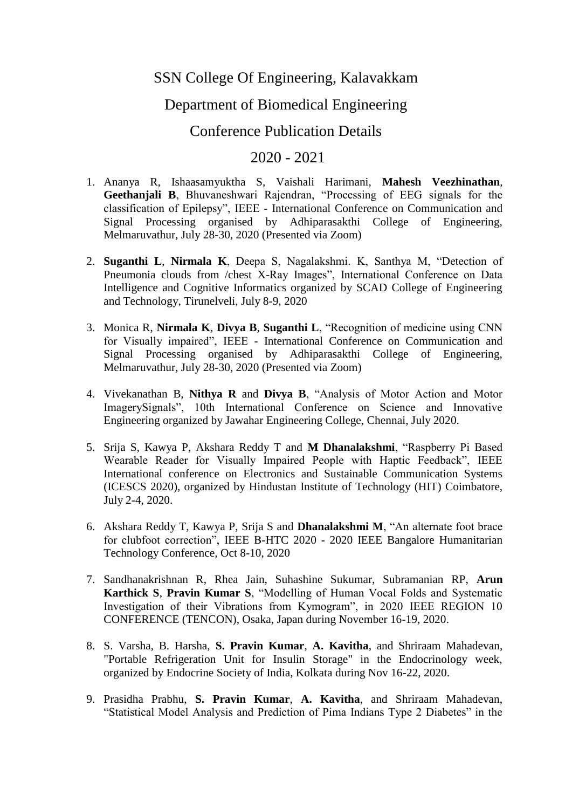## SSN College Of Engineering, Kalavakkam

## Department of Biomedical Engineering

## Conference Publication Details

## 2020 - 2021

- 1. Ananya R, Ishaasamyuktha S, Vaishali Harimani, **Mahesh Veezhinathan**, **Geethanjali B**, Bhuvaneshwari Rajendran, "Processing of EEG signals for the classification of Epilepsy", IEEE - International Conference on Communication and Signal Processing organised by Adhiparasakthi College of Engineering, Melmaruvathur, July 28-30, 2020 (Presented via Zoom)
- 2. **Suganthi L**, **Nirmala K**, Deepa S, Nagalakshmi. K, Santhya M, "Detection of Pneumonia clouds from /chest X-Ray Images", International Conference on Data Intelligence and Cognitive Informatics organized by SCAD College of Engineering and Technology, Tirunelveli, July 8-9, 2020
- 3. Monica R, **Nirmala K**, **Divya B**, **Suganthi L**, "Recognition of medicine using CNN for Visually impaired", IEEE - International Conference on Communication and Signal Processing organised by Adhiparasakthi College of Engineering, Melmaruvathur, July 28-30, 2020 (Presented via Zoom)
- 4. Vivekanathan B, **Nithya R** and **Divya B**, "Analysis of Motor Action and Motor ImagerySignals", 10th International Conference on Science and Innovative Engineering organized by Jawahar Engineering College, Chennai, July 2020.
- 5. Srija S, Kawya P, Akshara Reddy T and **M Dhanalakshmi**, "Raspberry Pi Based Wearable Reader for Visually Impaired People with Haptic Feedback", IEEE International conference on Electronics and Sustainable Communication Systems (ICESCS 2020), organized by Hindustan Institute of Technology (HIT) Coimbatore, July 2-4, 2020.
- 6. Akshara Reddy T, Kawya P, Srija S and **Dhanalakshmi M**, "An alternate foot brace for clubfoot correction", IEEE B-HTC 2020 - 2020 IEEE Bangalore Humanitarian Technology Conference, Oct 8-10, 2020
- 7. Sandhanakrishnan R, Rhea Jain, Suhashine Sukumar, Subramanian RP, **Arun Karthick S**, **Pravin Kumar S**, "Modelling of Human Vocal Folds and Systematic Investigation of their Vibrations from Kymogram", in 2020 IEEE REGION 10 CONFERENCE (TENCON), Osaka, Japan during November 16-19, 2020.
- 8. S. Varsha, B. Harsha, **S. Pravin Kumar**, **A. Kavitha**, and Shriraam Mahadevan, "Portable Refrigeration Unit for Insulin Storage" in the Endocrinology week, organized by Endocrine Society of India, Kolkata during Nov 16-22, 2020.
- 9. Prasidha Prabhu, **S. Pravin Kumar**, **A. Kavitha**, and Shriraam Mahadevan, "Statistical Model Analysis and Prediction of Pima Indians Type 2 Diabetes" in the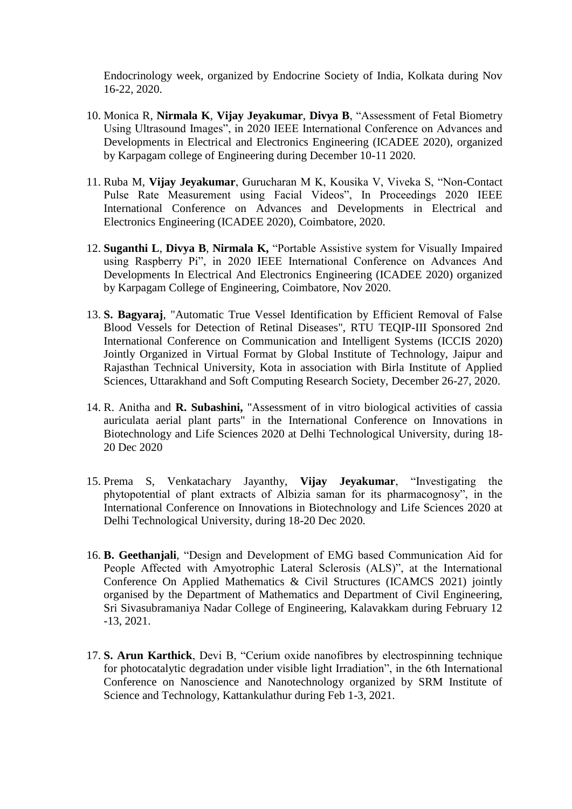Endocrinology week, organized by Endocrine Society of India, Kolkata during Nov 16-22, 2020.

- 10. Monica R, **Nirmala K**, **Vijay Jeyakumar**, **Divya B**, "Assessment of Fetal Biometry Using Ultrasound Images", in 2020 IEEE International Conference on Advances and Developments in Electrical and Electronics Engineering (ICADEE 2020), organized by Karpagam college of Engineering during December 10-11 2020.
- 11. Ruba M, **Vijay Jeyakumar**, Gurucharan M K, Kousika V, Viveka S, "Non-Contact Pulse Rate Measurement using Facial Videos", In Proceedings 2020 IEEE International Conference on Advances and Developments in Electrical and Electronics Engineering (ICADEE 2020), Coimbatore, 2020.
- 12. **Suganthi L**, **Divya B**, **Nirmala K,** "Portable Assistive system for Visually Impaired using Raspberry Pi", in 2020 IEEE International Conference on Advances And Developments In Electrical And Electronics Engineering (ICADEE 2020) organized by Karpagam College of Engineering, Coimbatore, Nov 2020.
- 13. **S. Bagyaraj**, "Automatic True Vessel Identification by Efficient Removal of False Blood Vessels for Detection of Retinal Diseases", RTU TEQIP-III Sponsored 2nd International Conference on Communication and Intelligent Systems (ICCIS 2020) Jointly Organized in Virtual Format by Global Institute of Technology, Jaipur and Rajasthan Technical University, Kota in association with Birla Institute of Applied Sciences, Uttarakhand and Soft Computing Research Society, December 26-27, 2020.
- 14. R. Anitha and **R. Subashini,** "Assessment of in vitro biological activities of cassia auriculata aerial plant parts" in the International Conference on Innovations in Biotechnology and Life Sciences 2020 at Delhi Technological University, during 18- 20 Dec 2020
- 15. Prema S, Venkatachary Jayanthy, **Vijay Jeyakumar**, "Investigating the phytopotential of plant extracts of Albizia saman for its pharmacognosy", in the International Conference on Innovations in Biotechnology and Life Sciences 2020 at Delhi Technological University, during 18-20 Dec 2020.
- 16. **B. Geethanjali**, "Design and Development of EMG based Communication Aid for People Affected with Amyotrophic Lateral Sclerosis (ALS)", at the International Conference On Applied Mathematics & Civil Structures (ICAMCS 2021) jointly organised by the Department of Mathematics and Department of Civil Engineering, Sri Sivasubramaniya Nadar College of Engineering, Kalavakkam during February 12 -13, 2021.
- 17. **S. Arun Karthick**, Devi B, "Cerium oxide nanofibres by electrospinning technique for photocatalytic degradation under visible light Irradiation", in the 6th International Conference on Nanoscience and Nanotechnology organized by SRM Institute of Science and Technology, Kattankulathur during Feb 1-3, 2021.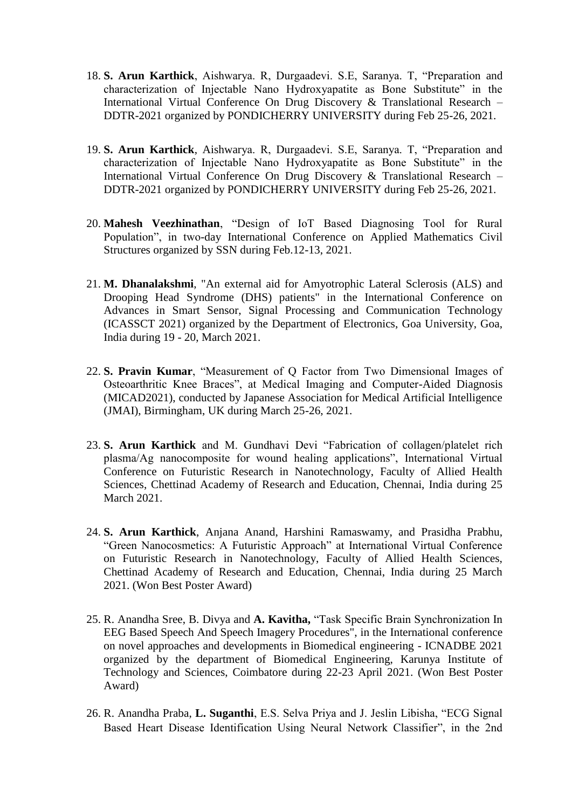- 18. **S. Arun Karthick**, Aishwarya. R, Durgaadevi. S.E, Saranya. T, "Preparation and characterization of Injectable Nano Hydroxyapatite as Bone Substitute" in the International Virtual Conference On Drug Discovery & Translational Research – DDTR-2021 organized by PONDICHERRY UNIVERSITY during Feb 25-26, 2021.
- 19. **S. Arun Karthick**, Aishwarya. R, Durgaadevi. S.E, Saranya. T, "Preparation and characterization of Injectable Nano Hydroxyapatite as Bone Substitute" in the International Virtual Conference On Drug Discovery & Translational Research – DDTR-2021 organized by PONDICHERRY UNIVERSITY during Feb 25-26, 2021.
- 20. **Mahesh Veezhinathan**, "Design of IoT Based Diagnosing Tool for Rural Population", in two-day International Conference on Applied Mathematics Civil Structures organized by SSN during Feb.12-13, 2021.
- 21. **M. Dhanalakshmi**, "An external aid for Amyotrophic Lateral Sclerosis (ALS) and Drooping Head Syndrome (DHS) patients" in the International Conference on Advances in Smart Sensor, Signal Processing and Communication Technology (ICASSCT 2021) organized by the Department of Electronics, Goa University, Goa, India during 19 - 20, March 2021.
- 22. **S. Pravin Kumar**, "Measurement of Q Factor from Two Dimensional Images of Osteoarthritic Knee Braces", at Medical Imaging and Computer-Aided Diagnosis (MICAD2021), conducted by Japanese Association for Medical Artificial Intelligence (JMAI), Birmingham, UK during March 25-26, 2021.
- 23. **S. Arun Karthick** and M. Gundhavi Devi "Fabrication of collagen/platelet rich plasma/Ag nanocomposite for wound healing applications", International Virtual Conference on Futuristic Research in Nanotechnology, Faculty of Allied Health Sciences, Chettinad Academy of Research and Education, Chennai, India during 25 March 2021.
- 24. **S. Arun Karthick**, Anjana Anand, Harshini Ramaswamy, and Prasidha Prabhu, "Green Nanocosmetics: A Futuristic Approach" at International Virtual Conference on Futuristic Research in Nanotechnology, Faculty of Allied Health Sciences, Chettinad Academy of Research and Education, Chennai, India during 25 March 2021. (Won Best Poster Award)
- 25. R. Anandha Sree, B. Divya and **A. Kavitha,** "Task Specific Brain Synchronization In EEG Based Speech And Speech Imagery Procedures", in the International conference on novel approaches and developments in Biomedical engineering - ICNADBE 2021 organized by the department of Biomedical Engineering, Karunya Institute of Technology and Sciences, Coimbatore during 22-23 April 2021. (Won Best Poster Award)
- 26. R. Anandha Praba, **L. Suganthi**, E.S. Selva Priya and J. Jeslin Libisha, "ECG Signal Based Heart Disease Identification Using Neural Network Classifier", in the 2nd